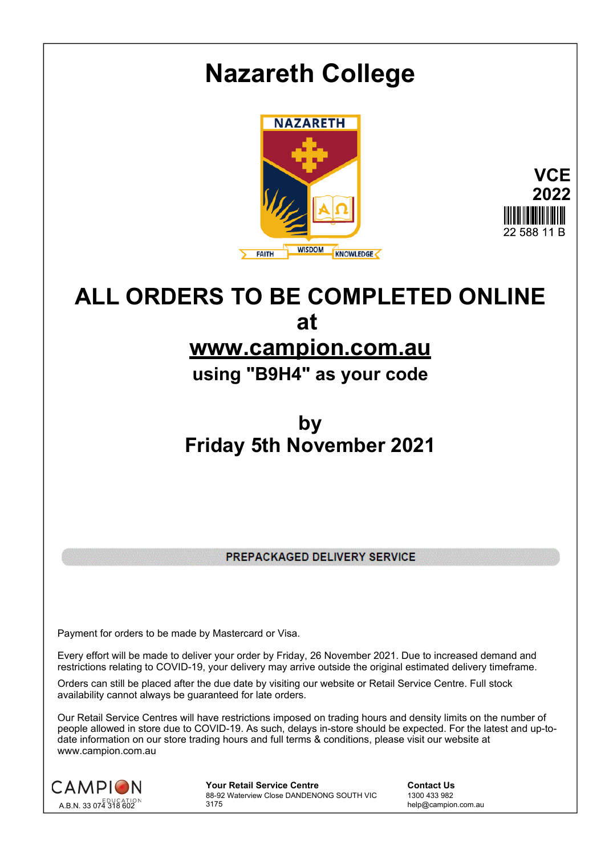

# **ALL ORDERS TO BE COMPLETED ONLINE at www.campion.com.au**

**using "B9H4" as your code**

**by Friday 5th November 2021**

PREPACKAGED DELIVERY SERVICE

Payment for orders to be made by Mastercard or Visa.

Every effort will be made to deliver your order by Friday, 26 November 2021. Due to increased demand and restrictions relating to COVID-19, your delivery may arrive outside the original estimated delivery timeframe.

Orders can still be placed after the due date by visiting our website or Retail Service Centre. Full stock availability cannot always be guaranteed for late orders.

Our Retail Service Centres will have restrictions imposed on trading hours and density limits on the number of people allowed in store due to COVID-19. As such, delays in-store should be expected. For the latest and up-todate information on our store trading hours and full terms & conditions, please visit our website at www.campion.com.au



**Your Retail Service Centre Contact Us** 88-92 Waterview Close DANDENONG SOUTH VIC 3175

1300 433 982 help@campion.com.au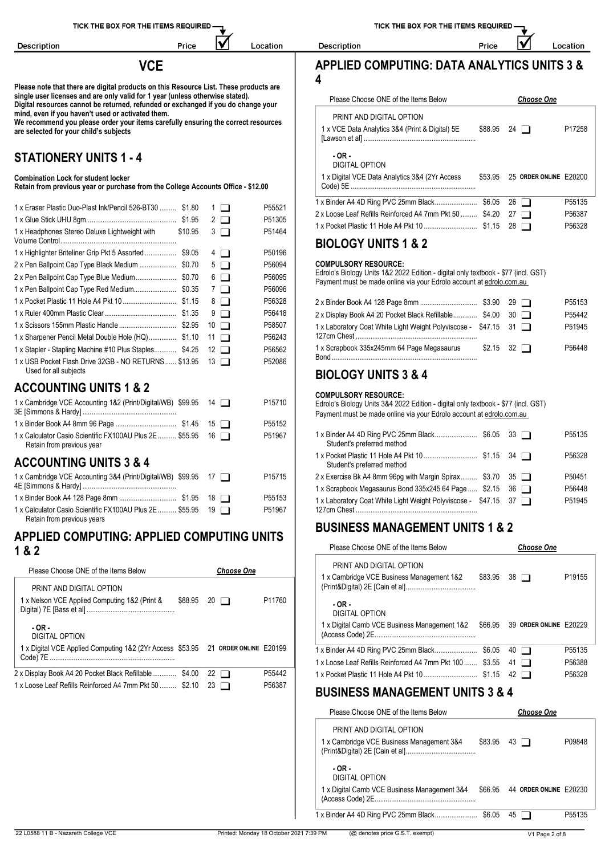**Description** 

Price

M

Location

**Please note that there are digital products on this Resource List. These products are single user licenses and are only valid for 1 year (unless otherwise stated). Digital resources cannot be returned, refunded or exchanged if you do change your mind, even if you haven't used or activated them.**

**We recommend you please order your items carefully ensuring the correct resources are selected for your child's subjects**

### **STATIONERY UNITS 1 - 4**

#### **Combination Lock for student locker**

**Retain from previous year or purchase from the College Accounts Office - \$12.00**

|                                                                                               |        | P55135                                                                                                                                                     |
|-----------------------------------------------------------------------------------------------|--------|------------------------------------------------------------------------------------------------------------------------------------------------------------|
| 1 x Eraser Plastic Duo-Plast Ink/Pencil 526-BT30  \$1.80<br>$1 \mid$                          | P55521 | 2 x Loose Leaf Refills Reinforced A4 7mm Pkt 50  \$4.20 27<br>P56387                                                                                       |
| $2 \Box$                                                                                      | P51305 |                                                                                                                                                            |
| 1 x Headphones Stereo Deluxe Lightweight with<br>\$10.95<br>$3\Box$                           | P51464 | P56328                                                                                                                                                     |
| 4   1                                                                                         | P50196 | <b>BIOLOGY UNITS 1 &amp; 2</b>                                                                                                                             |
| $5\Box$                                                                                       | P56094 | <b>COMPULSORY RESOURCE:</b>                                                                                                                                |
| $6 \Box$                                                                                      | P56095 | Edrolo's Biology Units 1&2 2022 Edition - digital only textbook - \$77 (incl. GST)<br>Payment must be made online via your Edrolo account at edrolo.com.au |
| 7 I I                                                                                         | P56096 |                                                                                                                                                            |
| $8 \Box$                                                                                      | P56328 | P55153                                                                                                                                                     |
| $9\Box$                                                                                       | P56418 | 2 x Display Book A4 20 Pocket Black Refillable \$4.00 30<br>P55442                                                                                         |
| $10$ $\Box$                                                                                   | P58507 | 1 x Laboratory Coat White Light Weight Polyviscose - \$47.15 31<br>P51945                                                                                  |
| 1 x Sharpener Pencil Metal Double Hole (HQ) \$1.10<br>$11$ $\Box$                             | P56243 |                                                                                                                                                            |
| 1 x Stapler - Stapling Machine #10 Plus Staples \$4.25 12                                     | P56562 | 1 x Scrapbook 335x245mm 64 Page Megasaurus<br>P56448<br>$32$ $\Box$<br>\$2.15                                                                              |
| 1 x USB Pocket Flash Drive 32GB - NO RETURNS  \$13.95<br>$13$ $\Box$<br>Used for all subjects | P52086 | <b>DIAL AAV UNITA 4.0.4</b>                                                                                                                                |

#### **ACCOUNTING UNITS 1 & 2**

| 1 x Calculator Casio Scientific FX100AU Plus 2E  \$55.95 16<br>Retain from previous year | P55152<br>P51967 | 1 x Binder A4 4D Ring PVC 25mm Black\$6.05 33<br>P55135<br>Student's preferred method |
|------------------------------------------------------------------------------------------|------------------|---------------------------------------------------------------------------------------|
| <b>ACCOUNTING UNITS 3 &amp; 4</b>                                                        |                  | P56328<br>Student's preferred method                                                  |
|                                                                                          |                  |                                                                                       |

# 1 x Cambridge VCE Accounting 3&4 (Print/Digital/WB) 4E [Simmons & Hardy] ................................................... \$99.95 <sup>17</sup> P15715

|                                                             |        | <b>A</b> Corappoon mogabaaras De |
|-------------------------------------------------------------|--------|----------------------------------|
|                                                             | P55153 | 1 x Laboratory Coat White Light  |
| 1 x Calculator Casio Scientific FX100AU Plus 2E  \$55.95 19 | P51967 | 127cm Chest                      |
| Retain from previous years                                  |        |                                  |

#### **APPLIED COMPUTING: APPLIED COMPUTING UNITS 1 & 2**

| Please Choose ONE of the Items Below                                             |         | <b>Choose One</b> |        | PRINT AND DIGITAL OF<br>1 x Cambridge VCE Busines                   |
|----------------------------------------------------------------------------------|---------|-------------------|--------|---------------------------------------------------------------------|
| PRINT AND DIGITAL OPTION<br>1 x Nelson VCE Applied Computing 1&2 (Print &        | \$88.95 | $20 \Box$         | P11760 | (Print&Digital) 2E [Cain et al]<br>$-OR -$<br><b>DIGITAL OPTION</b> |
| $-OR -$<br>DIGITAL OPTION                                                        |         |                   |        | 1 x Digital Camb VCE Busine<br>(Access Code) 2E                     |
| 1 x Digital VCE Applied Computing 1&2 (2Yr Access \$53.95 21 ORDER ONLINE E20199 |         |                   |        | 1 x Binder A4 4D Ring PVC 25<br>1 x Loose Leaf Refills Reinford     |
| 2 x Display Book A4 20 Pocket Black Refillable \$4.00 22 □                       |         |                   | P55442 | 1 x Pocket Plastic 11 Hole A4                                       |
| 1 x Loose Leaf Refills Reinforced A4 7mm Pkt 50  \$2.10                          |         | $23 \Box$         | P56387 | RUSINESS MANA                                                       |

TICK THE BOX FOR THE ITEMS REQUIRED

IV

Price

### **VCE APPLIED COMPUTING: DATA ANALYTICS UNITS 3 & 4**

| Please Choose ONE of the Items Below                    |         | <b>Choose One</b>      |        |
|---------------------------------------------------------|---------|------------------------|--------|
| PRINT AND DIGITAL OPTION                                |         |                        |        |
| 1 x VCE Data Analytics 3&4 (Print & Digital) 5E         | \$88.95 | 24 $\Box$              | P17258 |
| $-OR -$<br>DIGITAL OPTION                               |         |                        |        |
| 1 x Digital VCE Data Analytics 3&4 (2Yr Access          | \$53.95 | 25 ORDER ONLINE E20200 |        |
|                                                         |         | 26 I I                 | P55135 |
| 2 x Loose Leaf Refills Reinforced A4 7mm Pkt 50  \$4.20 |         | 27<br>ı 1              | P56387 |
|                                                         |         | 28                     | P56328 |

Description

|                                                                          |                             | P <sub>55153</sub> |
|--------------------------------------------------------------------------|-----------------------------|--------------------|
| 2 x Display Book A4 20 Pocket Black Refillable \$4.00 30                 |                             | P55442             |
| 1 x Laboratory Coat White Light Weight Polyviscose - \$47.15 31          |                             | P51945             |
| 1 x Scrapbook 335x245mm 64 Page Megasaurus<br><b>Bond Bond Bond Bond</b> | $$2.15 \quad 32 \quad \Box$ | P <sub>56448</sub> |

### **BIOLOGY UNITS 3 & 4**

#### **COMPULSORY RESOURCE:**

| Student's preferred method                                      |  | P55135             |
|-----------------------------------------------------------------|--|--------------------|
| Student's preferred method                                      |  | P56328             |
| 2 x Exercise Bk A4 8mm 96pg with Margin Spirax \$3.70 35        |  | P <sub>50451</sub> |
| 1 x Scrapbook Megasaurus Bond 335x245 64 Page  \$2.15 36        |  | P56448             |
| 1 x Laboratory Coat White Light Weight Polyviscose - \$47.15 37 |  | P51945             |

### **BUSINESS MANAGEMENT UNITS 1 & 2**

| Please Choose ONE of the Items Below                     |         |    | <b>Choose One</b>      |                    |
|----------------------------------------------------------|---------|----|------------------------|--------------------|
| PRINT AND DIGITAL OPTION                                 |         |    |                        |                    |
| 1 x Cambridge VCE Business Management 1&2                | \$83.95 |    | $38$ $\Box$            | P <sub>19155</sub> |
| $-OR -$<br>DIGITAL OPTION                                |         |    |                        |                    |
| 1 x Digital Camb VCE Business Management 1&2             | \$66.95 |    | 39 ORDER ONLINE F20229 |                    |
|                                                          |         |    | 40 I I                 | P55135             |
| 1 x Loose Leaf Refills Reinforced A4 7mm Pkt 100  \$3.55 |         | 41 |                        | P56388             |
|                                                          |         | 42 |                        | P56328             |
| BUAILLEAA HII LII AFHENE UNUTA A A I                     |         |    |                        |                    |

#### **BUSINESS MANAGEMENT UNITS 3 & 4**

| Please Choose ONE of the Items Below         |         | <b>Choose One</b>      |                     |
|----------------------------------------------|---------|------------------------|---------------------|
| PRINT AND DIGITAL OPTION                     |         |                        |                     |
| 1 x Cambridge VCE Business Management 3&4    | \$83.95 | 43   1                 | P09848              |
| $-OR -$<br>DIGITAL OPTION                    |         |                        |                     |
| 1 x Digital Camb VCE Business Management 3&4 | \$66.95 | 44 ORDER ONLINE F20230 |                     |
| 1 x Binder A4 4D Ring PVC 25mm Black         | \$6.05  | 45   1                 | P <sub>55</sub> 135 |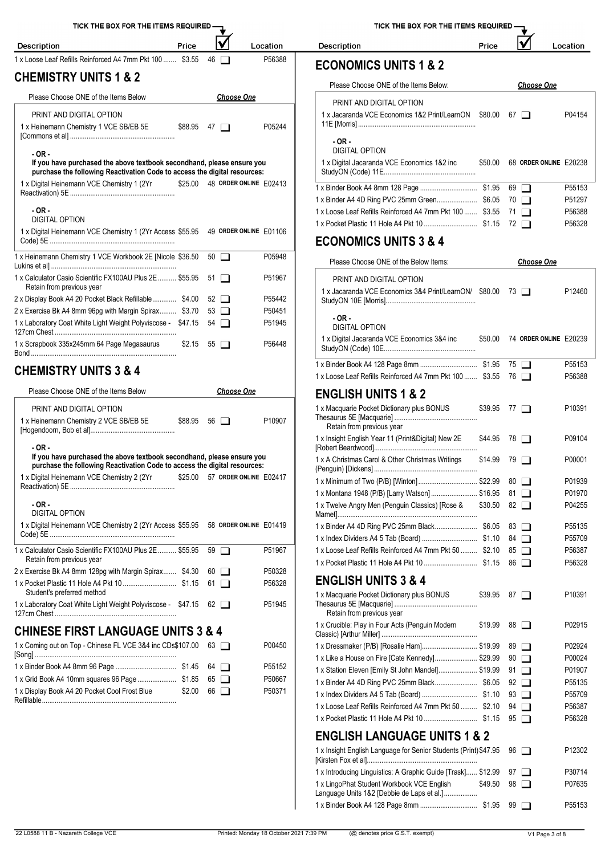| TICK THE BOX FOR THE ITEMS REQUIRED -                                                                                                                         |         |                          |                                |          | TICK THE BOX FOR THE ITEMS REQUIRED -                                                           |                    |                            |                                |                  |
|---------------------------------------------------------------------------------------------------------------------------------------------------------------|---------|--------------------------|--------------------------------|----------|-------------------------------------------------------------------------------------------------|--------------------|----------------------------|--------------------------------|------------------|
| <b>Description</b>                                                                                                                                            | Price   |                          |                                | Location | <b>Description</b>                                                                              | Price              |                            |                                | Location         |
| 1 x Loose Leaf Refills Reinforced A4 7mm Pkt 100  \$3.55                                                                                                      |         | $46$ $\Box$              |                                | P56388   | <b>ECONOMICS UNITS 1 &amp; 2</b>                                                                |                    |                            |                                |                  |
| <b>CHEMISTRY UNITS 1 &amp; 2</b>                                                                                                                              |         |                          |                                |          |                                                                                                 |                    |                            |                                |                  |
| Please Choose ONE of the Items Below                                                                                                                          |         |                          | <b>Choose One</b>              |          | Please Choose ONE of the Items Below:                                                           |                    |                            | <b>Choose One</b>              |                  |
| PRINT AND DIGITAL OPTION                                                                                                                                      |         |                          |                                |          | PRINT AND DIGITAL OPTION<br>1 x Jacaranda VCE Economics 1&2 Print/LearnON \$80.00 67            |                    |                            |                                | P04154           |
| 1 x Heinemann Chemistry 1 VCE SB/EB 5E                                                                                                                        |         | $$88.95$ 47 $\Box$       |                                | P05244   |                                                                                                 |                    |                            |                                |                  |
| $-OR -$                                                                                                                                                       |         |                          |                                |          | $-OR -$<br><b>DIGITAL OPTION</b>                                                                |                    |                            |                                |                  |
| If you have purchased the above textbook secondhand, please ensure you<br>purchase the following Reactivation Code to access the digital resources:           |         |                          |                                |          | 1 x Digital Jacaranda VCE Economics 1&2 inc                                                     |                    |                            | \$50.00 68 ORDER ONLINE E20238 |                  |
| 1 x Digital Heinemann VCE Chemistry 1 (2Yr                                                                                                                    |         |                          | \$25.00 48 ORDER ONLINE E02413 |          |                                                                                                 |                    | $69$ $\Box$                |                                | P55153           |
|                                                                                                                                                               |         |                          |                                |          | 1 x Binder A4 4D Ring PVC 25mm Green \$6.05 70                                                  |                    |                            |                                | P51297           |
| $-OR -$<br><b>DIGITAL OPTION</b>                                                                                                                              |         |                          |                                |          | 1 x Loose Leaf Refills Reinforced A4 7mm Pkt 100  \$3.55 71                                     |                    |                            |                                | P56388           |
| 1 x Digital Heinemann VCE Chemistry 1 (2Yr Access \$55.95 49 ORDER ONLINE E01106                                                                              |         |                          |                                |          |                                                                                                 |                    |                            |                                | P56328           |
|                                                                                                                                                               |         |                          |                                |          | <b>ECONOMICS UNITS 3 &amp; 4</b>                                                                |                    |                            |                                |                  |
| 1 x Heinemann Chemistry 1 VCE Workbook 2E [Nicole \$36.50                                                                                                     |         | $50$ $\Box$              |                                | P05948   | Please Choose ONE of the Below Items:                                                           |                    |                            | <b>Choose One</b>              |                  |
| 1 x Calculator Casio Scientific FX100AU Plus 2E  \$55.95 51<br>Retain from previous year                                                                      |         |                          |                                | P51967   | PRINT AND DIGITAL OPTION                                                                        |                    |                            |                                |                  |
| 2 x Display Book A4 20 Pocket Black Refillable \$4.00                                                                                                         |         | $52 \Box$                |                                | P55442   | 1 x Jacaranda VCE Economics 3&4 Print/LearnON/ \$80.00 73                                       |                    |                            |                                | P12460           |
| 2 x Exercise Bk A4 8mm 96pg with Margin Spirax \$3.70                                                                                                         |         | $53$ $\Box$              |                                | P50451   |                                                                                                 |                    |                            |                                |                  |
| 1 x Laboratory Coat White Light Weight Polyviscose - \$47.15 54                                                                                               |         |                          |                                | P51945   | $-OR -$<br><b>DIGITAL OPTION</b>                                                                |                    |                            |                                |                  |
| 1 x Scrapbook 335x245mm 64 Page Megasaurus                                                                                                                    |         | $$2.15$ 55 $\Box$        |                                | P56448   | 1 x Digital Jacaranda VCE Economics 3&4 inc                                                     |                    |                            | \$50.00 74 ORDER ONLINE E20239 |                  |
| <b>CHEMISTRY UNITS 3 &amp; 4</b>                                                                                                                              |         |                          |                                |          |                                                                                                 |                    |                            |                                | P55153           |
|                                                                                                                                                               |         |                          |                                |          | 1 x Loose Leaf Refills Reinforced A4 7mm Pkt 100  \$3.55 76                                     |                    |                            |                                | P56388           |
| Please Choose ONE of the Items Below                                                                                                                          |         |                          | <b>Choose One</b>              |          | <b>ENGLISH UNITS 1 &amp; 2</b>                                                                  |                    |                            |                                |                  |
| PRINT AND DIGITAL OPTION<br>1 x Heinemann Chemistry 2 VCE SB/EB 5E                                                                                            |         | $$88.95 \quad 56$ $\Box$ |                                | P10907   | 1 x Macquarie Pocket Dictionary plus BONUS<br>Retain from previous year                         | $$39.95$ 77 $\Box$ |                            |                                | P10391           |
|                                                                                                                                                               |         |                          |                                |          | 1 x Insight English Year 11 (Print&Digital) New 2E                                              | $$44.95$ 78 $\Box$ |                            |                                | P09104           |
| - OR -<br>If you have purchased the above textbook secondhand, please ensure you<br>purchase the following Reactivation Code to access the digital resources: |         |                          |                                |          | 1 x A Christmas Carol & Other Christmas Writings                                                | $$14.99$ 79 $\Box$ |                            |                                | P00001           |
| 1 x Digital Heinemann VCE Chemistry 2 (2Yr                                                                                                                    | \$25.00 |                          | 57 ORDER ONLINE E02417         |          | 1 x Minimum of Two (P/B) [Winton] \$22.99                                                       |                    | $80$ $\Box$                |                                | P01939           |
|                                                                                                                                                               |         |                          |                                |          | 1 x Montana 1948 (P/B) [Larry Watson]  \$16.95                                                  |                    | 81 □                       |                                | P01970           |
| $-OR -$<br><b>DIGITAL OPTION</b>                                                                                                                              |         |                          |                                |          | 1 x Twelve Angry Men (Penguin Classics) [Rose &                                                 | \$30.50            | 82 $\Box$                  |                                | P04255           |
| 1 x Digital Heinemann VCE Chemistry 2 (2Yr Access \$55.95 58 ORDER ONLINE E01419                                                                              |         |                          |                                |          |                                                                                                 |                    | 83 □                       |                                | P55135           |
|                                                                                                                                                               |         |                          |                                |          |                                                                                                 |                    |                            |                                | P55709           |
| 1 x Calculator Casio Scientific FX100AU Plus 2E  \$55.95                                                                                                      |         | $59$ $\Box$              |                                | P51967   | 1 x Loose Leaf Refills Reinforced A4 7mm Pkt 50  \$2.10                                         |                    | 85 □                       |                                | P56387           |
| Retain from previous year<br>2 x Exercise Bk A4 8mm 128pg with Margin Spirax \$4.30                                                                           |         | $60$ $\Box$              |                                | P50328   |                                                                                                 |                    |                            |                                | P56328           |
|                                                                                                                                                               |         | 61 $\Box$                |                                | P56328   | <b>ENGLISH UNITS 3 &amp; 4</b>                                                                  |                    |                            |                                |                  |
| Student's preferred method                                                                                                                                    |         |                          |                                |          | 1 x Macquarie Pocket Dictionary plus BONUS                                                      | $$39.95$ 87 $\Box$ |                            |                                | P10391           |
| 1 x Laboratory Coat White Light Weight Polyviscose - \$47.15 62                                                                                               |         |                          |                                | P51945   | Retain from previous year                                                                       |                    |                            |                                |                  |
| <b>CHINESE FIRST LANGUAGE UNITS 3 &amp; 4</b>                                                                                                                 |         |                          |                                |          | 1 x Crucible: Play in Four Acts (Penguin Modern                                                 | \$19.99            | 88 ⊔                       |                                | P02915           |
| 1 x Coming out on Top - Chinese FL VCE 3&4 inc CDs\$107.00 63                                                                                                 |         |                          |                                | P00450   | 1 x Dressmaker (P/B) [Rosalie Ham] \$19.99                                                      |                    | $89$ $\Box$                |                                | P02924           |
|                                                                                                                                                               |         | 64 □                     |                                | P55152   | 1 x Like a House on Fire [Cate Kennedy] \$29.99                                                 |                    | $90$ $\Box$                |                                | P00024           |
|                                                                                                                                                               |         | $65$ $\Box$              |                                | P50667   | 1 x Station Eleven [Emily St John Mandel] \$19.99<br>1 x Binder A4 4D Ring PVC 25mm Black\$6.05 |                    | $91$ $\Box$<br>$92$ $\Box$ |                                | P01907<br>P55135 |
| 1 x Display Book A4 20 Pocket Cool Frost Blue                                                                                                                 | \$2.00  | $66$ $\Box$              |                                | P50371   |                                                                                                 |                    | $93$ $\Box$                |                                | P55709           |
|                                                                                                                                                               |         |                          |                                |          | 1 x Loose Leaf Refills Reinforced A4 7mm Pkt 50  \$2.10                                         |                    | $94$ $\Box$                |                                | P56387           |
|                                                                                                                                                               |         |                          |                                |          | 1 x Pocket Plastic 11 Hole A4 Pkt 10 5 1 15 95                                                  |                    |                            |                                | P56328           |

| Please Choose ONE of the Items Below:                    | <b>Choose One</b> |                        |                     |  |  |  |
|----------------------------------------------------------|-------------------|------------------------|---------------------|--|--|--|
| PRINT AND DIGITAL OPTION                                 |                   |                        |                     |  |  |  |
| 1 x Jacaranda VCE Economics 1&2 Print/LearnON            | \$80.00           | 67                     | P04154              |  |  |  |
| $-OR -$<br>DIGITAL OPTION                                |                   |                        |                     |  |  |  |
| 1 x Digital Jacaranda VCE Economics 1&2 inc              | \$50.00           | 68 ORDER ONLINE E20238 |                     |  |  |  |
|                                                          |                   | 69 T                   | P <sub>55153</sub>  |  |  |  |
|                                                          |                   | 70 <b>T</b>            | P <sub>5</sub> 1297 |  |  |  |
| 1 x Loose Leaf Refills Reinforced A4 7mm Pkt 100  \$3.55 |                   |                        | P56388              |  |  |  |
|                                                          |                   | 72                     | P56328              |  |  |  |

| Please Choose ONE of the Below Items:                                                    |         |    | <u>Choose One</u>      |        |
|------------------------------------------------------------------------------------------|---------|----|------------------------|--------|
| PRINT AND DIGITAL OPTION                                                                 |         |    |                        |        |
| 1 x Jacaranda VCE Economics 3&4 Print/LearnON/ \$80.00                                   |         |    | 73 I I                 | P12460 |
| $-OR -$<br><b>DIGITAL OPTION</b>                                                         |         |    |                        |        |
| 1 x Digital Jacaranda VCE Economics 3&4 inc                                              | \$50.00 |    | 74 ORDER ONLINE E20239 |        |
|                                                                                          |         |    | $75\Box$               | P55153 |
| 1 x Loose Leaf Refills Reinforced A4 7mm Pkt 100  \$3.55                                 |         |    | 76 <b>1</b>            | P56388 |
| <b>ENGLISH UNITS 1 &amp; 2</b>                                                           |         |    |                        |        |
| 1 x Macquarie Pocket Dictionary plus BONUS<br>Retain from previous year                  | \$39.95 |    | $77$ $\Box$            | P10391 |
| 1 x Insight English Year 11 (Print&Digital) New 2E                                       | \$44.95 |    | 78 □                   | P09104 |
| 1 x A Christmas Carol & Other Christmas Writings                                         | \$14.99 | 79 |                        | P00001 |
| 1 x Minimum of Two (P/B) [Winton] \$22.99                                                |         | 80 | l 1                    | P01939 |
| 1 x Montana 1948 (P/B) [Larry Watson]  \$16.95                                           |         | 81 |                        | P01970 |
| 1 x Twelve Angry Men (Penguin Classics) [Rose &                                          | \$30.50 |    | $82 \Box$              | P04255 |
|                                                                                          |         | 83 |                        | P55135 |
|                                                                                          |         | 84 |                        | P55709 |
| 1 x Loose Leaf Refills Reinforced A4 7mm Pkt 50  \$2.10                                  |         | 85 |                        | P56387 |
|                                                                                          |         | 86 |                        | P56328 |
| <b>ENGLISH UNITS 3 &amp; 4</b>                                                           |         |    |                        |        |
| 1 x Macquarie Pocket Dictionary plus BONUS<br>Retain from previous year                  | \$39.95 |    | 87 I I                 | P10391 |
| 1 x Crucible: Play in Four Acts (Penguin Modern                                          | \$19.99 |    | 88 □                   | P02915 |
| 1 x Dressmaker (P/B) [Rosalie Ham] \$19.99                                               |         | 89 | $\mathbf{L}$           | P02924 |
| 1 x Like a House on Fire [Cate Kennedy] \$29.99                                          |         | 90 | $\blacksquare$         | P00024 |
| 1 x Station Eleven [Emily St John Mandel] \$19.99                                        |         | 91 | $\Box$                 | P01907 |
|                                                                                          |         |    | $92$ $\Box$            | P55135 |
|                                                                                          |         | 93 | $\perp$                | P55709 |
| 1 x Loose Leaf Refills Reinforced A4 7mm Pkt 50  \$2.10                                  |         |    | 94 □                   | P56387 |
|                                                                                          |         |    | 95 ⊔                   | P56328 |
| <b>ENGLISH LANGUAGE UNITS 1 &amp; 2</b>                                                  |         |    |                        |        |
| 1 x Insight English Language for Senior Students (Print) \$47.95                         |         |    | $96$ $\Box$            | P12302 |
| 1 x Introducing Linguistics: A Graphic Guide [Trask] \$12.99                             |         | 97 |                        | P30714 |
| 1 x LingoPhat Student Workbook VCE English<br>Language Units 1&2 [Debbie de Laps et al.] | \$49.50 | 98 |                        | P07635 |
|                                                                                          |         | 99 |                        | P55153 |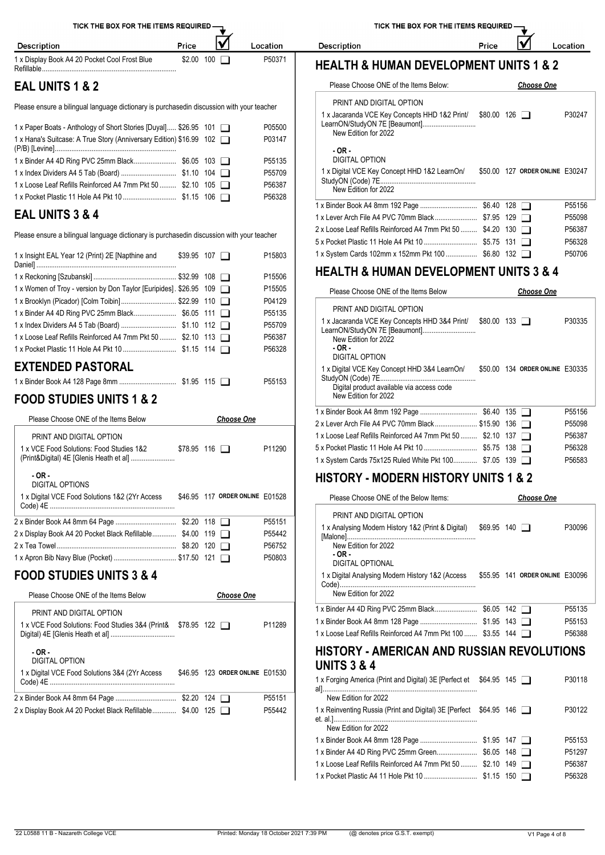| TICK THE BOX FOR THE ITEMS REQUIRED - |  |
|---------------------------------------|--|
|                                       |  |

Location

Description

Description Price 1 x Display Book A4 20 Pocket Cool Frost Blue

## **EAL UNITS 1 & 2**

Please ensure a bilingual language dictionary is purchasedin discussion with your teacher

| 1 x Paper Boats - Anthology of Short Stories [Duyal] \$26.95 101<br>1 x Hana's Suitcase: A True Story (Anniversary Edition) \$16.99 102 |  | P05500<br>P03147 | <b>I'M UNIGHTURE VOL INCY OUT</b><br>LearnON/StudyON 7E [Beau<br>New Edition for 2022 |
|-----------------------------------------------------------------------------------------------------------------------------------------|--|------------------|---------------------------------------------------------------------------------------|
|                                                                                                                                         |  |                  | $-OR -$                                                                               |
|                                                                                                                                         |  | P55135           | <b>DIGITAL OPTION</b>                                                                 |
|                                                                                                                                         |  | P55709           | 1 x Digital VCE Key Concept                                                           |
| 1 x Loose Leaf Refills Reinforced A4 7mm Pkt 50  \$2.10 105                                                                             |  | P56387           | StudyON (Code) 7E<br>New Edition for 2022                                             |
|                                                                                                                                         |  | P56328           |                                                                                       |
|                                                                                                                                         |  |                  | 1 v Dindor Dook AA 9mm 1021                                                           |

### **EAL UNITS 3 & 4**

Please ensure a bilingual language dictionary is purchasedin discussion with your teacher

| 1 x Insight EAL Year 12 (Print) 2E [Napthine and                   | $$39.95$ 107 $\Box$ | P15803 | 1 x System Cards 102mm x 152mm Pkt 100 \$6.80 132                                     |                   | P50706 |
|--------------------------------------------------------------------|---------------------|--------|---------------------------------------------------------------------------------------|-------------------|--------|
|                                                                    |                     | P15506 | <b>HEALTH &amp; HUMAN DEVELOPMENT UNITS 3 &amp; 4</b>                                 |                   |        |
| 1 x Women of Troy - version by Don Taylor [Euripides]. \$26.95 109 |                     | P15505 | Please Choose ONE of the Items Below                                                  | <b>Choose One</b> |        |
| 1 x Brooklyn (Picador) [Colm Toibin]\$22.99 110                    |                     | P04129 |                                                                                       |                   |        |
|                                                                    |                     | P55135 | PRINT AND DIGITAL OPTION<br>1 x Jacaranda VCE Key Concepts HHD 3&4 Print/ \$80.00 133 |                   | P30335 |
|                                                                    |                     | P55709 |                                                                                       |                   |        |
| 1 x Loose Leaf Refills Reinforced A4 7mm Pkt 50  \$2.10 113        |                     | P56387 | New Edition for 2022                                                                  |                   |        |
|                                                                    |                     | P56328 | - OR -<br>DIGITAL OPTION                                                              |                   |        |
| EVTENDED DACTORAL                                                  |                     |        |                                                                                       |                   |        |

### **EXTENDED PASTORAL**

| $$1.95$ 115 $\Box$ |  | P55153 | $\parallel$ Study UN (Code) / E |
|--------------------|--|--------|---------------------------------|
|                    |  |        | Digital product available       |

### **FOOD STUDIES UNITS 1 & 2**

| Please Choose ONE of the Items Below                                 |                     | <b>Choose One</b>               |        | I X BINGEL BOOK A4 ONINI 192 I<br>2 x Lever Arch File A4 PVC 70                                  |
|----------------------------------------------------------------------|---------------------|---------------------------------|--------|--------------------------------------------------------------------------------------------------|
| PRINT AND DIGITAL OPTION<br>1 x VCE Food Solutions: Food Studies 1&2 | $$78.95$ 116 $\Box$ |                                 | P11290 | 1 x Loose Leaf Refills Reinford<br>5 x Pocket Plastic 11 Hole A4<br>1 x System Cards 75x125 Rule |
| $-OR -$<br>DIGITAL OPTIONS                                           |                     |                                 |        | <b>HISTORY - MODE</b>                                                                            |
| 1 x Digital VCE Food Solutions 1&2 (2Yr Access                       |                     | \$46.95 117 ORDER ONLINE E01528 |        | Please Choose ONE of th                                                                          |
|                                                                      |                     |                                 | P55151 | PRINT AND DIGITAL OF                                                                             |
| 2 x Display Book A4 20 Pocket Black Refillable \$4.00 119 □          |                     |                                 | P55442 | 1 x Analysing Modern Histor<br>[Malone]                                                          |
|                                                                      |                     |                                 | P56752 | New Edition for 2022                                                                             |
|                                                                      |                     |                                 | P50803 | - OR -<br>DIGITAL OPTIONAL                                                                       |

### **FOOD STUDIES UNITS 3 & 4**

| Please Choose ONE of the Items Below<br><b>Choose One</b>                                                             | New Edition for 2022                                                                            |
|-----------------------------------------------------------------------------------------------------------------------|-------------------------------------------------------------------------------------------------|
| PRINT AND DIGITAL OPTION<br>1 x VCE Food Solutions: Food Studies 3&4 (Print& \$78.95 122<br>P11289                    | 1 x Binder A4 4D Ring PVC 25<br>1 x Binder Book A4 8mm 128 B<br>1 x Loose Leaf Refills Reinford |
| $-OR -$<br><b>DIGITAL OPTION</b><br>\$46.95 123 ORDER ONLINE E01530<br>1 x Digital VCE Food Solutions 3&4 (2Yr Access | <b>HISTORY - AMER</b><br><b>UNITS 3 &amp; 4</b><br>1 x Forging America (Print and               |
| P55151                                                                                                                | New Edition for 2022                                                                            |
| 2 x Display Book A4 20 Pocket Black Refillable \$4.00 125<br>P55442                                                   | 1 x Reinventing Russia (Print a                                                                 |

TICK THE BOX FOR THE ITEMS REQUIRED

Location

V

Price

# **HEALTH & HUMAN DEVELOPMENT UNITS 1 & 2** Refillable......................................................................... \$2.00 <sup>100</sup> P50371

| Please Choose ONE of the Items Below:                                                                  |             |         | <b>Choose One</b>               |        |
|--------------------------------------------------------------------------------------------------------|-------------|---------|---------------------------------|--------|
| PRINT AND DIGITAL OPTION                                                                               |             |         |                                 |        |
| 1 x Jacaranda VCE Key Concepts HHD 1&2 Print/<br>LearnON/StudyON 7E [Beaumont]<br>New Edition for 2022 | \$80.00 126 |         |                                 | P30247 |
| $-OR -$<br>DIGITAL OPTION                                                                              |             |         |                                 |        |
| 1 x Digital VCE Key Concept HHD 1&2 LearnOn/<br>New Edition for 2022                                   |             |         | \$50.00 127 ORDER ONLINE E30247 |        |
|                                                                                                        |             |         |                                 | P55156 |
|                                                                                                        |             |         |                                 | P55098 |
| 2 x Loose Leaf Refills Reinforced A4 7mm Pkt 50  \$4.20                                                |             | 130   1 |                                 | P56387 |
|                                                                                                        |             |         | $\mathbf{I}$                    | P56328 |
| 1 x System Cards 102mm x 152mm Pkt 100  \$6.80 132                                                     |             |         |                                 | P50706 |

| Please Choose ONE of the Items Below                                                                                                           |     | <b>Choose One</b>               |        |
|------------------------------------------------------------------------------------------------------------------------------------------------|-----|---------------------------------|--------|
| PRINT AND DIGITAL OPTION                                                                                                                       |     |                                 |        |
| 1 x Jacaranda VCE Key Concepts HHD 3&4 Print/ \$80.00 133<br>LearnON/StudyON 7E [Beaumont]<br>New Edition for 2022<br>$-OR-$<br>DIGITAL OPTION |     |                                 | P30335 |
| 1 x Digital VCE Key Concept HHD 3&4 LearnOn/<br>Digital product available via access code<br>New Edition for 2022                              |     | \$50.00 134 ORDER ONLINE E30335 |        |
|                                                                                                                                                |     |                                 | P55156 |
|                                                                                                                                                |     |                                 | P55098 |
| 1 x Loose Leaf Refills Reinforced A4 7mm Pkt 50  \$2.10                                                                                        | 137 | $\mathbf{1}$                    | P56387 |
|                                                                                                                                                |     |                                 | P56328 |
| 1 x System Cards 75x125 Ruled White Pkt 100 \$7.05 139                                                                                         |     |                                 | P56583 |

#### **HISTORY - MODERN HISTORY UNITS 1 & 2**

| Please Choose ONE of the Below Items:                                                                                                | <b>Choose One</b>   |  |                                 |                     |  |  |  |
|--------------------------------------------------------------------------------------------------------------------------------------|---------------------|--|---------------------------------|---------------------|--|--|--|
| PRINT AND DIGITAL OPTION<br>1 x Analysing Modern History 1&2 (Print & Digital)<br>New Edition for 2022<br>$-OR-$<br>DIGITAL OPTIONAL | $$69.95$ 140 $\Box$ |  |                                 | P30096              |  |  |  |
| 1 x Digital Analysing Modern History 1&2 (Access<br>$Code)$<br>New Edition for 2022                                                  |                     |  | \$55.95 141 ORDER ONLINE E30096 |                     |  |  |  |
|                                                                                                                                      |                     |  |                                 | P <sub>55</sub> 135 |  |  |  |

|                                                              | $$1.95$ 143 $\Box$ | P55153 |
|--------------------------------------------------------------|--------------------|--------|
| 1 x Loose Leaf Refills Reinforced A4 7mm Pkt 100  \$3.55 144 |                    | P56388 |

#### **HISTORY - AMERICAN AND RUSSIAN REVOLUTIONS UNITS 3 & 4**

| 1 x Forging America (Print and Digital) 3E [Perfect et \$64.95 145 |  | P30118 |
|--------------------------------------------------------------------|--|--------|
| New Edition for 2022                                               |  |        |
| 1 x Reinventing Russia (Print and Digital) 3E [Perfect \$64.95 146 |  | P30122 |
| New Edition for 2022                                               |  |        |
|                                                                    |  | P55153 |
|                                                                    |  | P51297 |
| 1 x Loose Leaf Refills Reinforced A4 7mm Pkt 50  \$2.10 149        |  | P56387 |
| 1 x Pocket Plastic A4 11 Hole Pkt 10  \$1.15 150 □                 |  | P56328 |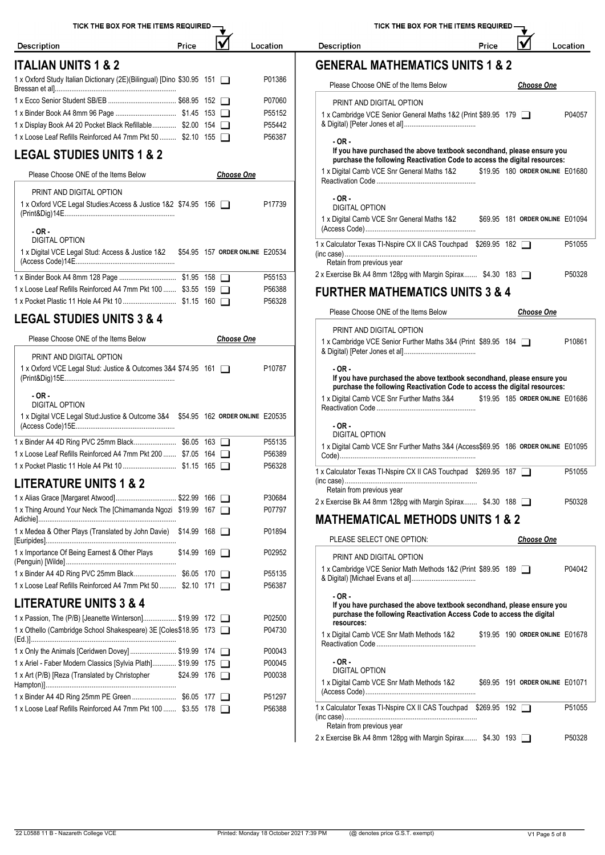| TICK THE BOX FOR THE ITEMS REQUIRED-                                              |                     |                                 |          | <b>TICK THE</b>                                                           |
|-----------------------------------------------------------------------------------|---------------------|---------------------------------|----------|---------------------------------------------------------------------------|
| <b>Description</b>                                                                | Price               |                                 | Location | <b>Description</b>                                                        |
| <b>ITALIAN UNITS 1 &amp; 2</b>                                                    |                     |                                 |          | <b>GENERAL MATHE</b>                                                      |
| 1 x Oxford Study Italian Dictionary (2E)(Bilingual) [Dino \$30.95 151             |                     |                                 | P01386   | Please Choose ONE of th                                                   |
|                                                                                   |                     |                                 | P07060   | PRINT AND DIGITAL OF                                                      |
|                                                                                   |                     |                                 | P55152   | 1 x Cambridge VCE Senior (                                                |
| 1 x Display Book A4 20 Pocket Black Refillable \$2.00 154                         |                     |                                 | P55442   | & Digital) [Peter Jones et al]                                            |
| 1 x Loose Leaf Refills Reinforced A4 7mm Pkt 50  \$2.10 155                       |                     |                                 | P56387   | - OR -<br>If you have purchased                                           |
| <b>LEGAL STUDIES UNITS 1 &amp; 2</b>                                              |                     |                                 |          | purchase the following                                                    |
| Please Choose ONE of the Items Below                                              |                     | <b>Choose One</b>               |          | 1 x Digital Camb VCE Snr G<br>Reactivation Code                           |
| PRINT AND DIGITAL OPTION                                                          |                     |                                 |          | $-OR -$                                                                   |
| 1 x Oxford VCE Legal Studies: Access & Justice 1&2 \$74.95 156                    |                     |                                 | P17739   | <b>DIGITAL OPTION</b><br>1 x Digital Camb VCE Snr G<br>(Access Code)      |
| $-OR -$<br><b>DIGITAL OPTION</b>                                                  |                     |                                 |          |                                                                           |
| 1 x Digital VCE Legal Stud: Access & Justice 1&2                                  |                     | \$54.95 157 ORDER ONLINE E20534 |          | 1 x Calculator Texas TI-Nspire<br>(inc case)<br>Retain from previous year |
|                                                                                   |                     |                                 | P55153   | 2 x Exercise Bk A4 8mm 128p                                               |
| 1 x Loose Leaf Refills Reinforced A4 7mm Pkt 100  \$3.55 159                      |                     |                                 | P56388   | <b>FURTHER MATHE</b>                                                      |
|                                                                                   |                     |                                 | P56328   | Please Choose ONE of th                                                   |
| <b>LEGAL STUDIES UNITS 3 &amp; 4</b>                                              |                     |                                 |          | PRINT AND DIGITAL OF                                                      |
| Please Choose ONE of the Items Below                                              |                     | <b>Choose One</b>               |          | 1 x Cambridge VCE Senior F                                                |
| PRINT AND DIGITAL OPTION                                                          |                     |                                 |          | & Digital) [Peter Jones et al]                                            |
| 1 x Oxford VCE Legal Stud: Justice & Outcomes 3&4 \$74.95 161                     |                     |                                 | P10787   | - OR -<br>If you have purchased<br>purchase the following                 |
| $-OR -$<br><b>DIGITAL OPTION</b>                                                  |                     |                                 |          | 1 x Digital Camb VCE Snr Fu                                               |
| 1 x Digital VCE Legal Stud: Justice & Outcome 3&4 \$54.95 162 ORDER ONLINE E20535 |                     |                                 |          | Reactivation Code                                                         |
|                                                                                   |                     |                                 |          | $-OR -$<br><b>DIGITAL OPTION</b>                                          |
|                                                                                   |                     |                                 | P55135   | 1 x Digital Camb VCE Snr Fu                                               |
| 1 x Loose Leaf Refills Reinforced A4 7mm Pkt 200  \$7.05 164                      |                     |                                 | P56389   |                                                                           |
|                                                                                   |                     |                                 | P56328   | 1 x Calculator Texas TI-Nspire                                            |
| <b>LITERATURE UNITS 1 &amp; 2</b>                                                 |                     |                                 |          | (inc case)<br>Retain from previous year                                   |
| 1 x Thing Around Your Neck The [Chimamanda Ngozi \$19.99 167                      |                     |                                 | P30684   | 2 x Exercise Bk A4 8mm 128p                                               |
|                                                                                   |                     |                                 | P07797   | <b>MATHEMATICAL</b>                                                       |
| 1 x Medea & Other Plays (Translated by John Davie) \$14.99 168                    |                     |                                 | P01894   | PLEASE SELECT ONE C                                                       |
| 1 x Importance Of Being Earnest & Other Plays                                     | $$14.99$ 169 $\Box$ |                                 | P02952   | PRINT AND DIGITAL OI                                                      |
|                                                                                   |                     |                                 | P55135   | 1 x Cambridge VCE Senior N                                                |
| 1 x Loose Leaf Refills Reinforced A4 7mm Pkt 50  \$2.10 171                       |                     |                                 | P56387   | & Digital) [Michael Evans et                                              |
| <b>LITERATURE UNITS 3 &amp; 4</b>                                                 |                     |                                 |          | - OR -<br>If you have purchased                                           |
| 1 x Passion, The (P/B) [Jeanette Winterson] \$19.99 172                           |                     |                                 | P02500   | purchase the following                                                    |
| 1 x Othello (Cambridge School Shakespeare) 3E [Coles \$18.95 173                  |                     |                                 | P04730   | resources:<br>1 x Digital Camb VCE Snr M                                  |
| 1 x Only the Animals [Ceridwen Dovey]  \$19.99 174                                |                     |                                 | P00043   | Reactivation Code                                                         |
| 1 x Ariel - Faber Modern Classics [Sylvia Plath] \$19.99 175                      |                     |                                 | P00045   | - OR -                                                                    |
| 1 x Art (P/B) [Reza (Translated by Christopher                                    | \$24.99 176         |                                 | P00038   | DIGITAL OPTION                                                            |
| 1 x Binder A4 4D Ring 25mm PE Green  \$6.05 177                                   |                     |                                 | P51297   | 1 x Digital Camb VCE Snr M<br>(Access Code)                               |
| 1 x Loose Leaf Refills Reinforced A4 7mm Pkt 100  \$3.55 178                      |                     |                                 | P56388   | 1 x Calculator Texas TI-Nspire                                            |
|                                                                                   |                     |                                 |          | (inc case)<br>Retain from previous year                                   |

#### $\overline{\mathbf{M}}$ Price Location

### **GENERAL MATHEMATICS UNITS 1 & 2**

| Please Choose ONE of the Items Below                                                                                                                                     |  | <b>Choose One</b>               |        |
|--------------------------------------------------------------------------------------------------------------------------------------------------------------------------|--|---------------------------------|--------|
| PRINT AND DIGITAL OPTION<br>1 x Cambridge VCE Senior General Maths 1&2 (Print \$89.95 179                                                                                |  |                                 | P04057 |
| $-OR -$                                                                                                                                                                  |  |                                 |        |
| If you have purchased the above textbook secondhand, please ensure you<br>purchase the following Reactivation Code to access the digital resources:                      |  |                                 |        |
| 1 x Digital Camb VCE Snr General Maths 1&2 \$19.95 180 ORDER ONLINE E01680                                                                                               |  |                                 |        |
| $-OR -$<br><b>DIGITAL OPTION</b>                                                                                                                                         |  |                                 |        |
| 1 x Digital Camb VCE Snr General Maths 1&2 \$69.95 181 ORDER ONLINE E01094                                                                                               |  |                                 |        |
| 1 x Calculator Texas TI-Nspire CX II CAS Touchpad \$269.95 182<br>Retain from previous year                                                                              |  |                                 | P51055 |
| 2 x Exercise Bk A4 8mm 128pg with Margin Spirax \$4.30 183                                                                                                               |  |                                 | P50328 |
| <b>FURTHER MATHEMATICS UNITS 3 &amp; 4</b>                                                                                                                               |  |                                 |        |
| Please Choose ONE of the Items Below                                                                                                                                     |  | <b>Choose One</b>               |        |
| PRINT AND DIGITAL OPTION<br>1 x Cambridge VCE Senior Further Maths 3&4 (Print \$89.95 184                                                                                |  |                                 | P10861 |
| $-OR -$<br>If you have purchased the above textbook secondhand, please ensure you<br>purchase the following Reactivation Code to access the digital resources:           |  |                                 |        |
| 1 x Digital Camb VCE Snr Further Maths 3&4                                                                                                                               |  | \$19.95 185 ORDER ONLINE E01686 |        |
| $-OR -$<br>DIGITAL OPTION                                                                                                                                                |  |                                 |        |
| 1 x Digital Camb VCE Snr Further Maths 3&4 (Access\$69.95 186 ORDER ONLINE E01095                                                                                        |  |                                 |        |
| 1 x Calculator Texas TI-Nspire CX II CAS Touchpad \$269.95 187<br>Retain from previous year                                                                              |  |                                 | P51055 |
| 2 x Exercise Bk A4 8mm 128pg with Margin Spirax \$4.30 188                                                                                                               |  |                                 | P50328 |
| <b>MATHEMATICAL METHODS UNITS 1 &amp; 2</b>                                                                                                                              |  |                                 |        |
| PLEASE SELECT ONE OPTION:                                                                                                                                                |  | <b>Choose One</b>               |        |
| PRINT AND DIGITAL OPTION                                                                                                                                                 |  |                                 |        |
| 1 x Cambridge VCE Senior Math Methods 1&2 (Print \$89.95 189                                                                                                             |  |                                 | P04042 |
| $-OR -$<br>If you have purchased the above textbook secondhand, please ensure you<br>purchase the following Reactivation Access Code to access the digital<br>resources: |  |                                 |        |
| 1 x Digital Camb VCE Snr Math Methods 1&2                                                                                                                                |  | \$19.95 190 ORDER ONLINE E01678 |        |
| - OR -<br>DIGITAL OPTION                                                                                                                                                 |  |                                 |        |
| 1 x Digital Camb VCE Snr Math Methods 1&2                                                                                                                                |  | \$69.95 191 ORDER ONLINE E01071 |        |
| 1 x Calculator Texas TI-Nspire CX II CAS Touchpad \$269.95 192                                                                                                           |  |                                 | P51055 |
| Retain from previous year<br>2 x Exercise Bk A4 8mm 128pg with Margin Spirax \$4.30 193                                                                                  |  |                                 | P50328 |
|                                                                                                                                                                          |  |                                 |        |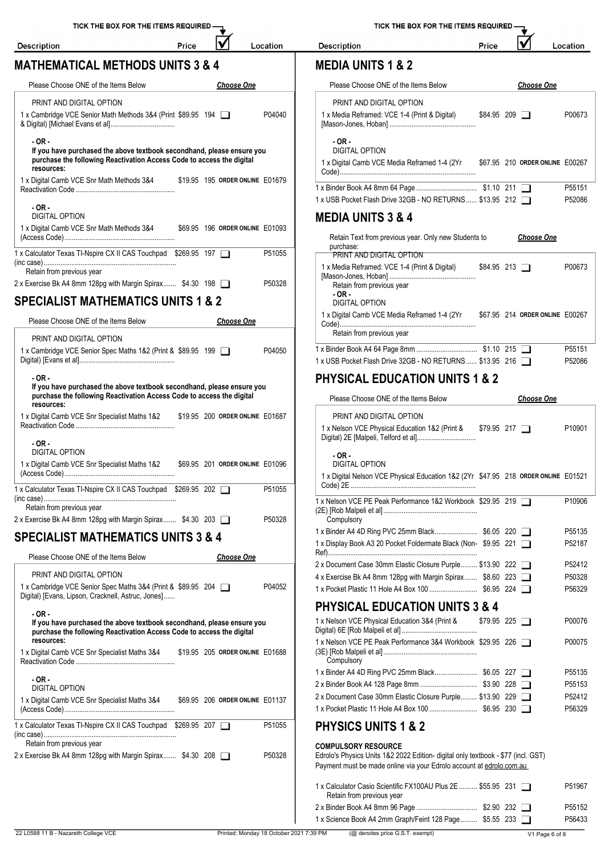1 x Digital Camb VCE Snr Math Methods 3&4

DIGITAL OPTION

**MATHEMATICAL METHODS UNITS 3 & 4**

**- OR -**

Description

Location

IV

Price

TICK THE BOX FOR THE ITEMS REQUIRED -

|  | ın n<br>וכי |
|--|-------------|
|--|-------------|

#### **MEDIA UNITS 1 & 2**

Description

| Please Choose ONE of the Items Below                                                     | <b>Choose One</b>               | Please Choose ONE of the Items Below                                      | <b>Choose One</b>               |        |
|------------------------------------------------------------------------------------------|---------------------------------|---------------------------------------------------------------------------|---------------------------------|--------|
| PRINT AND DIGITAL OPTION<br>1 x Cambridge VCE Senior Math Methods 3&4 (Print \$89.95 194 | P04040                          | PRINT AND DIGITAL OPTION<br>1 x Media Reframed: VCE 1-4 (Print & Digital) | $$84.95$ 209 $\Box$             | P00673 |
|                                                                                          |                                 |                                                                           |                                 |        |
| $-OR -$<br>If you have purchased the above textbook secondhand, please ensure you        |                                 | $-OR-$<br>DIGITAL OPTION                                                  |                                 |        |
| purchase the following Reactivation Access Code to access the digital<br>resources:      |                                 | 1 x Digital Camb VCE Media Reframed 1-4 (2Yr                              | \$67.95 210 ORDER ONLINE E00267 |        |
| 1 x Digital Camb VCE Snr Math Methods 3&4                                                | \$19.95 195 ORDER ONLINE E01679 |                                                                           |                                 |        |
|                                                                                          |                                 |                                                                           |                                 | P55151 |
|                                                                                          |                                 | 1 x USB Pocket Flash Drive 32GB - NO RETURNS \$13.95 212                  |                                 | P52086 |

Price

#### **MEDIA UNITS 3 & 4**

|                                                                                         |        | Retain Text from previous year. Only new Students to<br>purchase:                                 | <b>Choose One</b>               |
|-----------------------------------------------------------------------------------------|--------|---------------------------------------------------------------------------------------------------|---------------------------------|
| 1 x Calculator Texas TI-Nspire CX II CAS Touchpad \$269.95 197                          | P51055 | PRINT AND DIGITAL OPTION                                                                          |                                 |
| Retain from previous year<br>2 x Exercise Bk A4 8mm 128pg with Margin Spirax \$4.30 198 | P50328 | 1 x Media Reframed: VCE 1-4 (Print & Digital)<br>$$84.95$ 213 $\Box$<br>Retain from previous year | P00673                          |
| <b>SPECIALIST MATHEMATICS UNITS 1 &amp; 2</b>                                           |        | - OR -<br>DIGITAL OPTION                                                                          |                                 |
| Please Choose ONE of the Items Below<br><b>Choose One</b>                               |        | 1 x Digital Camb VCE Media Reframed 1-4 (2Yr                                                      | \$67.95 214 ORDER ONLINE E00267 |
| PRINT AND DIGITAL OPTION                                                                |        | Retain from previous year                                                                         |                                 |
| 1 x Cambridge VCE Senior Spec Maths 1&2 (Print & \$89.95 199                            | P04050 |                                                                                                   | P55151                          |
|                                                                                         |        | 1 x USB Pocket Flash Drive 32GB - NO RETURNS \$13.95 216                                          | P52086                          |

### **PHYSICAL EDUCATION UNITS 1 & 2**

|     | Please Choose ONE of the Items Below                                                                                                                                                    | <b>Choose One</b>   |        |
|-----|-----------------------------------------------------------------------------------------------------------------------------------------------------------------------------------------|---------------------|--------|
| 687 | PRINT AND DIGITAL OPTION                                                                                                                                                                |                     |        |
|     | 1 x Nelson VCE Physical Education 1&2 (Print & \$79.95 217                                                                                                                              |                     | P10901 |
| 096 | $-OR -$<br><b>DIGITAL OPTION</b>                                                                                                                                                        |                     |        |
|     | 1 x Digital Nelson VCE Physical Education 1&2 (2Yr \$47.95 218 ORDER ONLINE E01521                                                                                                      |                     |        |
| 055 | 1 x Nelson VCE PE Peak Performance 1&2 Workbook \$29.95 219                                                                                                                             |                     | P10906 |
| 328 | Compulsory                                                                                                                                                                              |                     |        |
|     |                                                                                                                                                                                         |                     | P55135 |
|     | 1 x Display Book A3 20 Pocket Foldermate Black (Non-\$9.95 221                                                                                                                          |                     | P52187 |
|     | 2 x Document Case 30mm Elastic Closure Purple \$13.90 222                                                                                                                               |                     | P52412 |
|     | 4 x Exercise Bk A4 8mm 128pg with Margin Spirax \$8.60 223                                                                                                                              |                     | P50328 |
|     |                                                                                                                                                                                         |                     | P56329 |
|     | <b>PHYSICAL EDUCATION UNITS 3 &amp; 4</b>                                                                                                                                               |                     |        |
|     | 1 x Nelson VCE Physical Education 3&4 (Print &                                                                                                                                          | $$79.95$ 225 $\Box$ | P00076 |
| 688 | 1 x Nelson VCE PE Peak Performance 3&4 Workbook \$29.95 226<br>Compulsory                                                                                                               |                     | P00075 |
|     |                                                                                                                                                                                         |                     | P55135 |
|     |                                                                                                                                                                                         |                     | P55153 |
| 137 | 2 x Document Case 30mm Elastic Closure Purple \$13.90 229                                                                                                                               |                     | P52412 |
|     |                                                                                                                                                                                         |                     | P56329 |
| 055 | <b>PHYSICS UNITS 1 &amp; 2</b>                                                                                                                                                          |                     |        |
| 328 | <b>COMPULSORY RESOURCE</b><br>Edrolo's Physics Units 1&2 2022 Edition- digital only textbook - \$77 (incl. GST)<br>Payment must be made online via your Edrolo account at edrolo.com.au |                     |        |
|     | 1 x Calculator Casio Scientific FX100AU Plus 2E  \$55.95 231<br>Retain from previous year                                                                                               |                     | P51967 |
|     |                                                                                                                                                                                         |                     | P55152 |
|     | 1 x Science Book A4 2mm Graph/Feint 128 Page  \$5.55 233                                                                                                                                |                     | P56433 |

| SPECIALIST MATHEMATICS UNITS 1 & 2   |            | DIGITAL OPTION                         |
|--------------------------------------|------------|----------------------------------------|
| Please Choose ONE of the Items Below | Choose One | 1 x Digital Camb VCE Media R<br>Code). |
| <b>PRINT AND DIGITAL OPTION</b>      |            | Retain from previous year              |

| LININ LAND DIVILAL VI TIVN                                                          |                                                               |
|-------------------------------------------------------------------------------------|---------------------------------------------------------------|
| 1 x Cambridge VCE Senior Spec Maths 1&2 (Print & \$89.95 199                        | 1 x Binder Book A4 64 Page 8<br>P04050                        |
|                                                                                     | 1 x USB Pocket Flash Drive 32                                 |
| $-OR -$<br>If you have purchased the above textbook secondhand, please ensure you   | <b>PHYSICAL EDUCA</b>                                         |
| purchase the following Reactivation Access Code to access the digital<br>resources: | Please Choose ONE of th                                       |
| 1 x Digital Camb VCE Snr Specialist Maths 1&2                                       | \$19.95 200 ORDER ONLINE E01687<br>PRINT AND DIGITAL OF       |
|                                                                                     | 1 x Nelson VCE Physical Ed<br>Digital) 2E [Malpeli, Telford 6 |
| $-OR -$                                                                             |                                                               |
| DIGITAL OPTION                                                                      | $-OR -$                                                       |
| 1 x Digital Camb VCE Snr Specialist Maths 1&2                                       | \$69.95 201 ORDER ONLINE E01096<br>DIGITAL OPTION             |
|                                                                                     | 1 x Digital Nelson VCE Phys                                   |
| 1 x Calculator Texas TI-Nspire CX II CAS Touchpad \$269.95 202                      | Code) 2E<br>P51055                                            |
| Retain from previous year                                                           | 1 x Nelson VCE PE Peak Perf<br>(2E) [Rob Malpeli et al]       |
| 2 x Exercise Bk A4 8mm 128pg with Margin Spirax \$4.30 203                          | P50328<br>Compulsory                                          |

## **SPECIALIST MATHEMATICS UNITS 3 & 4**

| Please Choose ONE of the Items Below                                                                                                            |  | <b>Choose One</b>               |        |                                                                                             |
|-------------------------------------------------------------------------------------------------------------------------------------------------|--|---------------------------------|--------|---------------------------------------------------------------------------------------------|
| PRINT AND DIGITAL OPTION<br>1 x Cambridge VCE Senior Spec Maths 3&4 (Print & \$89.95 204<br>Digital) [Evans, Lipson, Cracknell, Astruc, Jones]  |  |                                 | P04052 | 2 x Document Case 30mm Ela<br>4 x Exercise Bk A4 8mm 128p<br>1 x Pocket Plastic 11 Hole A4  |
| $-OR -$                                                                                                                                         |  |                                 |        | <b>PHYSICAL EDUCA</b>                                                                       |
| If you have purchased the above textbook secondhand, please ensure you<br>purchase the following Reactivation Access Code to access the digital |  |                                 |        | 1 x Nelson VCE Physical Educ<br>Digital) 6E [Rob Malpeli et al]                             |
| resources:<br>1 x Digital Camb VCE Snr Specialist Maths 3&4 \$19.95 205 ORDER ONLINE E01688                                                     |  |                                 |        | 1 x Nelson VCE PE Peak Perf<br>(3E) [Rob Malpeli et al]<br>Compulsory                       |
| $-OR -$<br><b>DIGITAL OPTION</b>                                                                                                                |  |                                 |        | 1 x Binder A4 4D Ring PVC 25<br>2 x Binder Book A4 128 Page                                 |
| 1 x Digital Camb VCE Snr Specialist Maths 3&4                                                                                                   |  | \$69.95 206 ORDER ONLINE E01137 |        | 2 x Document Case 30mm Ela<br>1 x Pocket Plastic 11 Hole A4                                 |
| 1 x Calculator Texas TI-Nspire CX II CAS Touchpad \$269.95 207                                                                                  |  |                                 | P51055 | <b>PHYSICS UNITS 1</b>                                                                      |
| Retain from previous year<br>2 x Exercise Bk A4 8mm 128pg with Margin Spirax \$4.30 208 $\Box$                                                  |  |                                 | P50328 | <b>COMPULSORY RESOURCE</b><br>Edrolo's Physics Units 1&2 202<br>Payment must be made online |
|                                                                                                                                                 |  |                                 |        | 1 x Calculator Casio Scientific<br>Retain from previous year                                |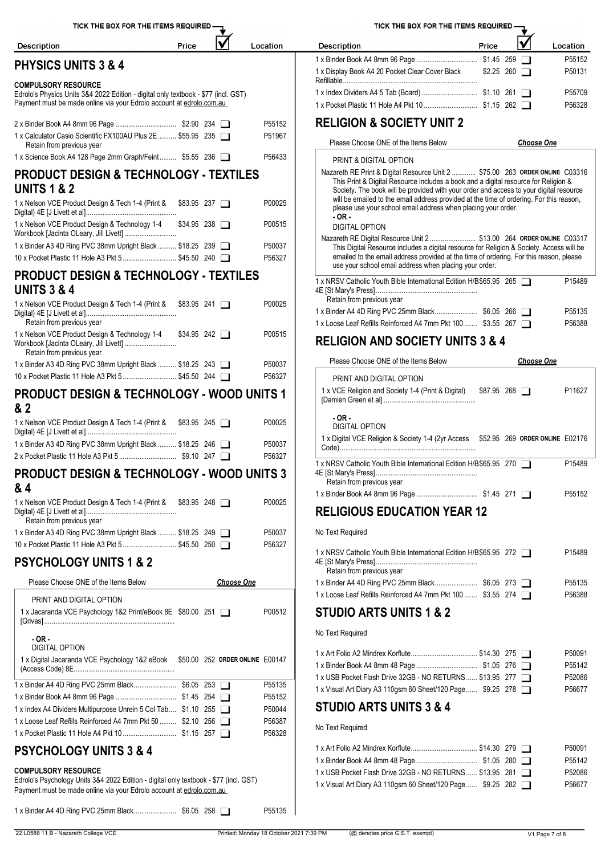| TICK THE BOX FOR THE ITEMS REQUIRED -                                                                                                                                                       |       |                   |                  | TICK THE BOX FOR THE ITEMS REQUIRED -                                                                                                                                                                                                                         |                     |                   |                  |
|---------------------------------------------------------------------------------------------------------------------------------------------------------------------------------------------|-------|-------------------|------------------|---------------------------------------------------------------------------------------------------------------------------------------------------------------------------------------------------------------------------------------------------------------|---------------------|-------------------|------------------|
| <b>Description</b>                                                                                                                                                                          | Price |                   | Location         | <b>Description</b>                                                                                                                                                                                                                                            | Price               | V                 | Location         |
| <b>PHYSICS UNITS 3 &amp; 4</b>                                                                                                                                                              |       |                   |                  | 1 x Display Book A4 20 Pocket Clear Cover Black \$2.25 260                                                                                                                                                                                                    |                     |                   | P55152<br>P50131 |
| <b>COMPULSORY RESOURCE</b>                                                                                                                                                                  |       |                   |                  |                                                                                                                                                                                                                                                               |                     |                   |                  |
| Edrolo's Physics Units 3&4 2022 Edition - digital only textbook - \$77 (incl. GST)<br>Payment must be made online via your Edrolo account at edrolo.com.au                                  |       |                   |                  |                                                                                                                                                                                                                                                               |                     |                   | P55709<br>P56328 |
| 1 x Calculator Casio Scientific FX100AU Plus 2E  \$55.95 235                                                                                                                                |       |                   | P55152<br>P51967 | <b>RELIGION &amp; SOCIETY UNIT 2</b>                                                                                                                                                                                                                          |                     |                   |                  |
| Retain from previous year                                                                                                                                                                   |       |                   |                  | Please Choose ONE of the Items Below                                                                                                                                                                                                                          |                     | <b>Choose One</b> |                  |
| 1 x Science Book A4 128 Page 2mm Graph/Feint \$5.55 236                                                                                                                                     |       |                   | P56433           | PRINT & DIGITAL OPTION                                                                                                                                                                                                                                        |                     |                   |                  |
| <b>PRODUCT DESIGN &amp; TECHNOLOGY - TEXTILES</b><br><b>UNITS 1 &amp; 2</b>                                                                                                                 |       |                   |                  | Nazareth RE Print & Digital Resource Unit 2  \$75.00 263 ORDER ONLINE C03316<br>This Print & Digital Resource includes a book and a digital resource for Religion &<br>Society. The book will be provided with your order and access to your digital resource |                     |                   |                  |
| 1 x Nelson VCE Product Design & Tech 1-4 (Print & \$83.95 237                                                                                                                               |       |                   | P00025           | will be emailed to the email address provided at the time of ordering. For this reason,<br>please use your school email address when placing your order.<br>- OR -                                                                                            |                     |                   |                  |
| 1 x Nelson VCE Product Design & Technology 1-4 \$34.95 238                                                                                                                                  |       |                   | P00515           | <b>DIGITAL OPTION</b><br>Nazareth RE Digital Resource Unit 2 \$13.00 264 ORDER ONLINE C03317                                                                                                                                                                  |                     |                   |                  |
| 1 x Binder A3 4D Ring PVC 38mm Upright Black  \$18.25 239<br>10 x Pocket Plastic 11 Hole A3 Pkt 5  \$45.50 240                                                                              |       |                   | P50037<br>P56327 | This Digital Resource includes a digital resource for Religion & Society. Access will be<br>emailed to the email address provided at the time of ordering. For this reason, please                                                                            |                     |                   |                  |
|                                                                                                                                                                                             |       |                   |                  | use your school email address when placing your order.                                                                                                                                                                                                        |                     |                   |                  |
| <b>PRODUCT DESIGN &amp; TECHNOLOGY - TEXTILES</b><br><b>UNITS 3 &amp; 4</b>                                                                                                                 |       |                   |                  | 1 x NRSV Catholic Youth Bible International Edition H/B\$65.95 265<br>Retain from previous year                                                                                                                                                               |                     |                   | P15489           |
| 1 x Nelson VCE Product Design & Tech 1-4 (Print & \$83.95 241<br>Retain from previous year                                                                                                  |       |                   | P00025           | 1 x Loose Leaf Refills Reinforced A4 7mm Pkt 100  \$3.55 267                                                                                                                                                                                                  |                     |                   | P55135<br>P56388 |
| 1 x Nelson VCE Product Design & Technology 1-4 \$34.95 242<br>Retain from previous year                                                                                                     |       |                   | P00515           | <b>RELIGION AND SOCIETY UNITS 3 &amp; 4</b>                                                                                                                                                                                                                   |                     |                   |                  |
| 1 x Binder A3 4D Ring PVC 38mm Upright Black  \$18.25 243                                                                                                                                   |       |                   | P50037           | Please Choose ONE of the Items Below                                                                                                                                                                                                                          |                     | <b>Choose One</b> |                  |
| 10 x Pocket Plastic 11 Hole A3 Pkt 5  \$45.50 244                                                                                                                                           |       |                   | P56327           | PRINT AND DIGITAL OPTION                                                                                                                                                                                                                                      |                     |                   |                  |
| <b>PRODUCT DESIGN &amp; TECHNOLOGY - WOOD UNITS 1</b><br>& 2                                                                                                                                |       |                   |                  | 1 x VCE Religion and Society 1-4 (Print & Digital)                                                                                                                                                                                                            | $$87.95$ 268 $\Box$ |                   | P11627           |
| 1 x Nelson VCE Product Design & Tech 1-4 (Print & \$83.95 245                                                                                                                               |       |                   | P00025           | - OR -<br><b>DIGITAL OPTION</b><br>1 x Digital VCE Religion & Society 1-4 (2yr Access \$52.95 269 ORDER ONLINE E02176                                                                                                                                         |                     |                   |                  |
| 1 x Binder A3 4D Ring PVC 38mm Upright Black  \$18.25 246                                                                                                                                   |       |                   | P50037<br>P56327 |                                                                                                                                                                                                                                                               |                     |                   |                  |
| PRODUCT DESIGN & TECHNOLOGY - WOOD UNITS 3<br>& 4                                                                                                                                           |       |                   |                  | 1 x NRSV Catholic Youth Bible International Edition H/B\$65.95 270<br>Retain from previous year                                                                                                                                                               |                     |                   | P15489           |
| 1 x Nelson VCE Product Design & Tech 1-4 (Print & \$83.95 248                                                                                                                               |       |                   | P00025           |                                                                                                                                                                                                                                                               |                     |                   | P55152           |
| Retain from previous year                                                                                                                                                                   |       |                   |                  | <b>RELIGIOUS EDUCATION YEAR 12</b>                                                                                                                                                                                                                            |                     |                   |                  |
| 1 x Binder A3 4D Ring PVC 38mm Upright Black  \$18.25 249<br>10 x Pocket Plastic 11 Hole A3 Pkt 5  \$45.50 250                                                                              |       |                   | P50037<br>P56327 | No Text Required                                                                                                                                                                                                                                              |                     |                   |                  |
| <b>PSYCHOLOGY UNITS 1 &amp; 2</b>                                                                                                                                                           |       |                   |                  | 1 x NRSV Catholic Youth Bible International Edition H/B \$65.95 272<br>Retain from previous year                                                                                                                                                              |                     |                   | P15489           |
| Please Choose ONE of the Items Below                                                                                                                                                        |       | <b>Choose One</b> |                  |                                                                                                                                                                                                                                                               |                     |                   | P55135           |
| PRINT AND DIGITAL OPTION<br>1 x Jacaranda VCE Psychology 1&2 Print/eBook 8E \$80.00 251                                                                                                     |       |                   | P00512           | 1 x Loose Leaf Refills Reinforced A4 7mm Pkt 100  \$3.55 274<br><b>STUDIO ARTS UNITS 1 &amp; 2</b>                                                                                                                                                            |                     |                   | P56388           |
| $-OR -$                                                                                                                                                                                     |       |                   |                  | No Text Required                                                                                                                                                                                                                                              |                     |                   |                  |
| <b>DIGITAL OPTION</b>                                                                                                                                                                       |       |                   |                  |                                                                                                                                                                                                                                                               |                     |                   | P50091           |
| 1 x Digital Jacaranda VCE Psychology 1&2 eBook \$50.00 252 ORDER ONLINE E00147                                                                                                              |       |                   |                  |                                                                                                                                                                                                                                                               |                     |                   | P55142           |
|                                                                                                                                                                                             |       |                   | P55135           | 1 x USB Pocket Flash Drive 32GB - NO RETURNS \$13.95 277<br>1 x Visual Art Diary A3 110gsm 60 Sheet/120 Page \$9.25 278                                                                                                                                       |                     |                   | P52086<br>P56677 |
|                                                                                                                                                                                             |       |                   | P55152           |                                                                                                                                                                                                                                                               |                     |                   |                  |
| 1 x Index A4 Dividers Multipurpose Unrein 5 Col Tab \$1.10 255                                                                                                                              |       |                   | P50044           | <b>STUDIO ARTS UNITS 3 &amp; 4</b>                                                                                                                                                                                                                            |                     |                   |                  |
| 1 x Loose Leaf Refills Reinforced A4 7mm Pkt 50  \$2.10 256                                                                                                                                 |       |                   | P56387<br>P56328 | No Text Required                                                                                                                                                                                                                                              |                     |                   |                  |
| <b>PSYCHOLOGY UNITS 3 &amp; 4</b>                                                                                                                                                           |       |                   |                  |                                                                                                                                                                                                                                                               |                     |                   | P50091           |
|                                                                                                                                                                                             |       |                   |                  |                                                                                                                                                                                                                                                               |                     |                   | P55142           |
| <b>COMPULSORY RESOURCE</b><br>Edrolo's Psychology Units 3&4 2022 Edition - digital only textbook - \$77 (incl. GST)<br>Payment must be made online via your Edrolo account at edrolo.com.au |       |                   |                  | 1 x USB Pocket Flash Drive 32GB - NO RETURNS \$13.95 281<br>1 x Visual Art Diary A3 110gsm 60 Sheet/120 Page \$9.25 282                                                                                                                                       |                     |                   | P52086<br>P56677 |

1 x Binder A4 4D Ring PVC 25mm Black....................... \$6.05 258 P55135

| <b>Description</b>                              | Price |                    | Location           |
|-------------------------------------------------|-------|--------------------|--------------------|
|                                                 |       |                    | P <sub>55152</sub> |
| 1 x Display Book A4 20 Pocket Clear Cover Black |       | $$2.25$ 260 $\Box$ | P50131             |
|                                                 |       |                    | P55709             |
|                                                 |       |                    | P56328             |

| PRINT & DIGITAL OPTION                                                                                                                                                                                                                                                                                                                                                                                                              |        |
|-------------------------------------------------------------------------------------------------------------------------------------------------------------------------------------------------------------------------------------------------------------------------------------------------------------------------------------------------------------------------------------------------------------------------------------|--------|
| Nazareth RE Print & Digital Resource Unit 2  \$75.00 263 ORDER ONLINE C03316<br>This Print & Digital Resource includes a book and a digital resource for Religion &<br>Society. The book will be provided with your order and access to your digital resource<br>will be emailed to the email address provided at the time of ordering. For this reason,<br>please use your school email address when placing your order.<br>- OR - |        |
| <b>DIGITAL OPTION</b>                                                                                                                                                                                                                                                                                                                                                                                                               |        |
| Nazareth RE Digital Resource Unit 2 \$13.00 264 ORDER ONLINE C03317<br>This Digital Resource includes a digital resource for Religion & Society. Access will be<br>emailed to the email address provided at the time of ordering. For this reason, please<br>use your school email address when placing your order.                                                                                                                 |        |
| 1 x NRSV Catholic Youth Bible International Edition H/B\$65.95 265<br>P <sub>15489</sub><br>Retain from previous year                                                                                                                                                                                                                                                                                                               |        |
| P55135                                                                                                                                                                                                                                                                                                                                                                                                                              |        |
| 1 x Loose Leaf Refills Reinforced A4 7mm Pkt 100  \$3.55 267<br>P56388                                                                                                                                                                                                                                                                                                                                                              |        |
| <b>RELIGION AND SOCIETY UNITS 3 &amp; 4</b>                                                                                                                                                                                                                                                                                                                                                                                         |        |
| Please Choose ONE of the Items Below<br><b>Choose One</b>                                                                                                                                                                                                                                                                                                                                                                           |        |
| PRINT AND DIGITAL OPTION                                                                                                                                                                                                                                                                                                                                                                                                            |        |
| 1 x VCE Religion and Society 1-4 (Print & Digital) \$87.95 268<br>P <sub>11627</sub>                                                                                                                                                                                                                                                                                                                                                |        |
| $-OR -$<br>DIGITAL OPTION<br>1 x Digital VCE Religion & Society 1-4 (2yr Access \$52.95 269 ORDER ONLINE E02176                                                                                                                                                                                                                                                                                                                     |        |
|                                                                                                                                                                                                                                                                                                                                                                                                                                     |        |
| 1 x NRSV Catholic Youth Bible International Edition H/B\$65.95 270<br>P <sub>15489</sub><br>Retain from previous year                                                                                                                                                                                                                                                                                                               |        |
| P55152                                                                                                                                                                                                                                                                                                                                                                                                                              |        |
| <b>RELIGIOUS EDUCATION YEAR 12</b>                                                                                                                                                                                                                                                                                                                                                                                                  |        |
| No Text Required                                                                                                                                                                                                                                                                                                                                                                                                                    |        |
| 1 x NRSV Catholic Youth Bible International Edition H/B \$65.95 272<br>P <sub>15489</sub><br>Retain from previous year                                                                                                                                                                                                                                                                                                              |        |
| P <sub>55135</sub>                                                                                                                                                                                                                                                                                                                                                                                                                  |        |
| 1 x Loose Leaf Refills Reinforced A4 7mm Pkt 100  \$3.55 274                                                                                                                                                                                                                                                                                                                                                                        | P56388 |
| STUDIO ARTS UNITS 1 & 2                                                                                                                                                                                                                                                                                                                                                                                                             |        |
| No Text Required                                                                                                                                                                                                                                                                                                                                                                                                                    |        |
|                                                                                                                                                                                                                                                                                                                                                                                                                                     |        |
| P50091                                                                                                                                                                                                                                                                                                                                                                                                                              |        |
|                                                                                                                                                                                                                                                                                                                                                                                                                                     | P55142 |
| 1 x USB Pocket Flash Drive 32GB - NO RETURNS \$13.95 277<br>P52086                                                                                                                                                                                                                                                                                                                                                                  |        |
| 1 x Visual Art Diary A3 110gsm 60 Sheet/120 Page  \$9.25 278<br>P56677                                                                                                                                                                                                                                                                                                                                                              |        |
| <b>STUDIO ARTS UNITS 3 &amp; 4</b>                                                                                                                                                                                                                                                                                                                                                                                                  |        |
| No Text Required                                                                                                                                                                                                                                                                                                                                                                                                                    |        |
| P50091                                                                                                                                                                                                                                                                                                                                                                                                                              |        |
|                                                                                                                                                                                                                                                                                                                                                                                                                                     | P55142 |
| 1 x USB Pocket Flash Drive 32GB - NO RETURNS  \$13.95 281<br>P52086                                                                                                                                                                                                                                                                                                                                                                 |        |
| 1 x Visual Art Diary A3 110gsm 60 Sheet/120 Page  \$9.25 282<br>P56677                                                                                                                                                                                                                                                                                                                                                              |        |